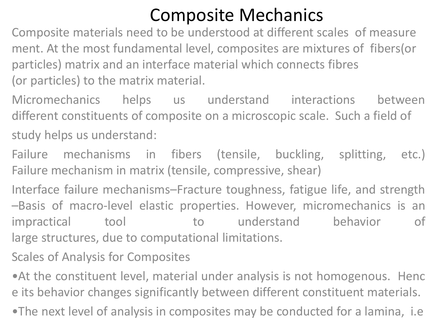## Composite Mechanics

Composite materials need to be understood at different scales of measure ment. At the most fundamental level, composites are mixtures of fibers(or particles) matrix and an interface material which connects fibres (or particles) to the matrix material.

Micromechanics helps us understand interactions between different constituents of composite on a microscopic scale. Such a field of study helps us understand:

Failure mechanisms in fibers (tensile, buckling, splitting, etc.) Failure mechanism in matrix (tensile, compressive, shear)

Interface failure mechanisms–Fracture toughness, fatigue life, and strength –Basis of macro‐level elastic properties. However, micromechanics is an impractical tool to understand behavior of large structures, due to computational limitations.

Scales of Analysis for Composites

•At the constituent level, material under analysis is not homogenous. Henc e its behavior changes significantly between different constituent materials.

•The next level of analysis in composites may be conducted for a lamina, i.e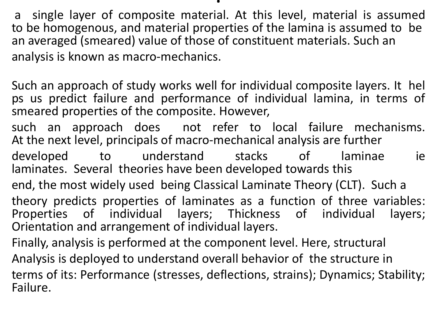.

a single layer of composite material. At this level, material is assumed to be homogenous, and material properties of the lamina is assumed to be an averaged (smeared) value of those of constituent materials. Such an analysis is known as macro-mechanics.

Such an approach of study works well for individual composite layers. It hel ps us predict failure and performance of individual lamina, in terms of smeared properties of the composite. However,

such an approach does not refer to local failure mechanisms. At the next level, principals of macro-mechanical analysis are further

developed to understand stacks of laminae ie laminates. Several theories have been developed towards this

end, the most widely used being Classical Laminate Theory (CLT). Such a theory predicts properties of laminates as a function of three variables: Properties of individual layers; Thickness of individual layers; Orientation and arrangement of individual layers.

Finally, analysis is performed at the component level. Here, structural Analysis is deployed to understand overall behavior of the structure in terms of its: Performance (stresses, deflections, strains); Dynamics; Stability; Failure.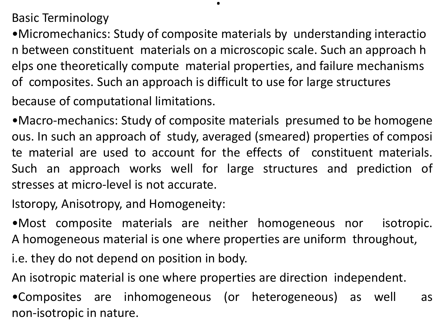Basic Terminology

•Micromechanics: Study of composite materials by understanding interactio n between constituent materials on a microscopic scale. Such an approach h elps one theoretically compute material properties, and failure mechanisms of composites. Such an approach is difficult to use for large structures because of computational limitations.

.

•Macro‐mechanics: Study of composite materials presumed to be homogene ous. In such an approach of study, averaged (smeared) properties of composi te material are used to account for the effects of constituent materials. Such an approach works well for large structures and prediction of stresses at micro‐level is not accurate.

Istoropy, Anisotropy, and Homogeneity:

•Most composite materials are neither homogeneous nor isotropic. A homogeneous material is one where properties are uniform throughout,

i.e. they do not depend on position in body.

An isotropic material is one where properties are direction independent.

•Composites are inhomogeneous (or heterogeneous) as well as non‐isotropic in nature.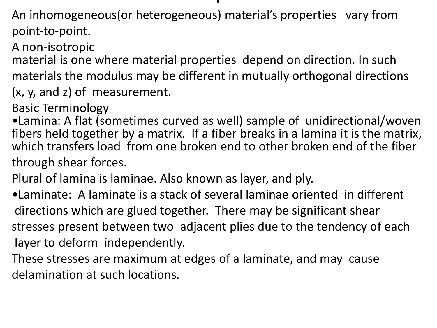## ,

An inhomogeneous(or heterogeneous) material's properties vary from point‐to‐point.

A non‐isotropic

material is one where material properties depend on direction. In such materials the modulus may be different in mutually orthogonal directions (x, y, and z) of measurement.

Basic Terminology

•Lamina: A flat (sometimes curved as well) sample of unidirectional/woven fibers held together by a matrix. If a fiber breaks in a lamina it is the matrix, which transfers load from one broken end to other broken end of the fiber through shear forces.

Plural of lamina is laminae. Also known as layer, and ply.

•Laminate: A laminate is a stack of several laminae oriented in different directions which are glued together. There may be significant shear stresses present between two adjacent plies due to the tendency of each layer to deform independently.

These stresses are maximum at edges of a laminate, and may cause delamination at such locations.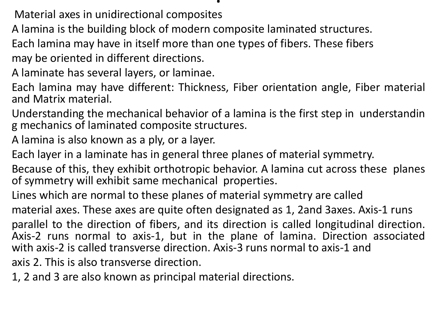Material axes in unidirectional composites

A lamina is the building block of modern composite laminated structures.

Each lamina may have in itself more than one types of fibers. These fibers may be oriented in different directions.

A laminate has several layers, or laminae.

Each lamina may have different: Thickness, Fiber orientation angle, Fiber material and Matrix material.

Understanding the mechanical behavior of a lamina is the first step in understandin g mechanics of laminated composite structures.

A lamina is also known as a ply, or a layer.

Each layer in a laminate has in general three planes of material symmetry.

Because of this, they exhibit orthotropic behavior. A lamina cut across these planes of symmetry will exhibit same mechanical properties.

Lines which are normal to these planes of material symmetry are called

material axes. These axes are quite often designated as 1, 2and 3axes. Axis‐1 runs

parallel to the direction of fibers, and its direction is called longitudinal direction. Axis‐2 runs normal to axis‐1, but in the plane of lamina. Direction associated with axis‐2 is called transverse direction. Axis‐3 runs normal to axis‐1 and

axis 2. This is also transverse direction.

1, 2 and 3 are also known as principal material directions.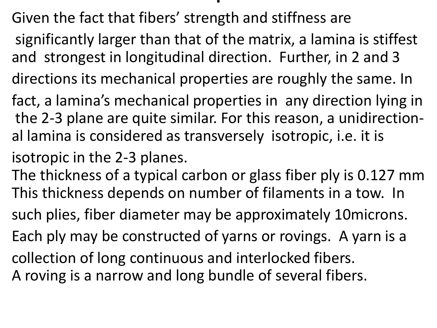Given the fact that fibers' strength and stiffness are

significantly larger than that of the matrix, a lamina is stiffest and strongest in longitudinal direction. Further, in 2 and 3

.

- directions its mechanical properties are roughly the same. In
- fact, a lamina's mechanical properties in any direction lying in the 2‐3 plane are quite similar. For this reason, a unidirectional lamina is considered as transversely isotropic, i.e. it is
- isotropic in the 2‐3 planes.
- The thickness of a typical carbon or glass fiber ply is 0.127 mm This thickness depends on number of filaments in a tow. In such plies, fiber diameter may be approximately 10microns.
- Each ply may be constructed of yarns or rovings. A yarn is a
- collection of long continuous and interlocked fibers.
- A roving is a narrow and long bundle of several fibers.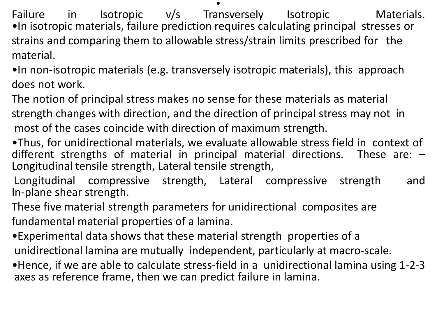Failure in Isotropic v/s Transversely Isotropic Materials. •In isotropic materials, failure prediction requires calculating principal stresses or strains and comparing them to allowable stress/strain limits prescribed for the material.

•In non‐isotropic materials (e.g. transversely isotropic materials), this approach does not work.

The notion of principal stress makes no sense for these materials as material strength changes with direction, and the direction of principal stress may not in most of the cases coincide with direction of maximum strength.

•Thus, for unidirectional materials, we evaluate allowable stress field in context of different strengths of material in principal material directions. These are: – Longitudinal tensile strength, Lateral tensile strength,

Longitudinal compressive strength, Lateral compressive strength and In‐plane shear strength.

These five material strength parameters for unidirectional composites are fundamental material properties of a lamina.

•Experimental data shows that these material strength properties of a unidirectional lamina are mutually independent, particularly at macro‐scale.

•Hence, if we are able to calculate stress‐field in a unidirectional lamina using 1‐2‐3 axes as reference frame, then we can predict failure in lamina.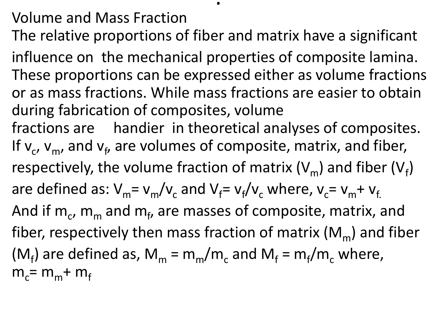## Volume and Mass Fraction

The relative proportions of fiber and matrix have a significant

.

influence on the mechanical properties of composite lamina. These proportions can be expressed either as volume fractions or as mass fractions. While mass fractions are easier to obtain during fabrication of composites, volume

fractions are handier in theoretical analyses of composites. If  $v_c$ ,  $v_m$ , and  $v_f$ , are volumes of composite, matrix, and fiber, respectively, the volume fraction of matrix (V<sub>m</sub>) and fiber (V<sub>f</sub>) are defined as:  $V_m = v_m/v_c$  and  $V_f = v_f/v_c$  where,  $v_c = v_m + v_f$ And if  $\mathsf{m}_\mathsf{c}$ ,  $\mathsf{m}_\mathsf{m}$  and  $\mathsf{m}_\mathsf{f}$ , are masses of composite, matrix, and fiber, respectively then mass fraction of matrix  $(M_m)$  and fiber ( $M_f$ ) are defined as,  $M_m = m_m/m_c$  and  $M_f = m_f/m_c$  where,  $m_c$ =  $m_m$ +  $m_f$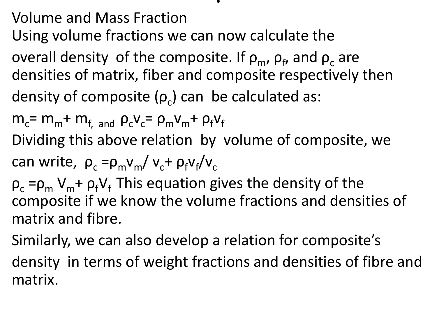Volume and Mass Fraction

Using volume fractions we can now calculate the

overall density of the composite. If  $\rho_{\sf m}$ ,  $\rho_{\sf f}$ , and  $\rho_{\sf c}$  are densities of matrix, fiber and composite respectively then density of composite ( $\rho_c$ ) can be calculated as:

.

 $m_c$ =  $m_m$ +  $m_{f, \text{ and }} \rho_c v_c$ =  $\rho_m v_m$ +  $\rho_f v_f$ 

Dividing this above relation by volume of composite, we

can write, 
$$
\rho_c = \rho_m v_m / v_c + \rho_f v_f / v_c
$$

 $\rho_c = \rho_m V_m + \rho_f V_f$  This equation gives the density of the composite if we know the volume fractions and densities of matrix and fibre.

Similarly, we can also develop a relation for composite's

density in terms of weight fractions and densities of fibre and matrix.